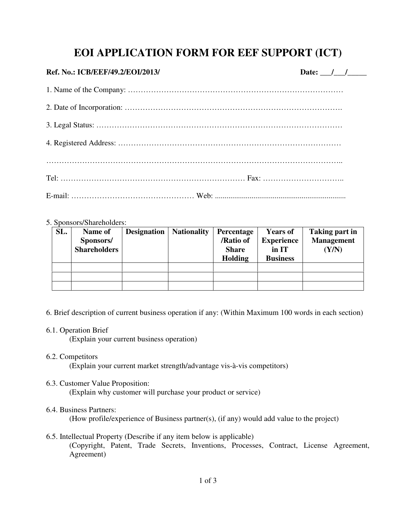## **EOI APPLICATION FORM FOR EEF SUPPORT (ICT)**

## **Ref. No.: ICB/EEF/49.2/EOI/2013/**

| <b>Date:</b> |  |  |
|--------------|--|--|
|              |  |  |

## 5. Sponsors/Shareholders:

| SL. | Name of<br>Sponsors/<br><b>Shareholders</b> | <b>Designation</b> | <b>Nationality</b> | Percentage<br>/Ratio of<br><b>Share</b><br><b>Holding</b> | <b>Years of</b><br><b>Experience</b><br>in IT<br><b>Business</b> | Taking part in<br><b>Management</b><br>(Y/N) |
|-----|---------------------------------------------|--------------------|--------------------|-----------------------------------------------------------|------------------------------------------------------------------|----------------------------------------------|
|     |                                             |                    |                    |                                                           |                                                                  |                                              |
|     |                                             |                    |                    |                                                           |                                                                  |                                              |
|     |                                             |                    |                    |                                                           |                                                                  |                                              |

- 6. Brief description of current business operation if any: (Within Maximum 100 words in each section)
- 6.1. Operation Brief

(Explain your current business operation)

6.2. Competitors

(Explain your current market strength/advantage vis-à-vis competitors)

6.3. Customer Value Proposition:

(Explain why customer will purchase your product or service)

6.4. Business Partners:

(How profile/experience of Business partner(s), (if any) would add value to the project)

6.5. Intellectual Property (Describe if any item below is applicable) (Copyright, Patent, Trade Secrets, Inventions, Processes, Contract, License Agreement, Agreement)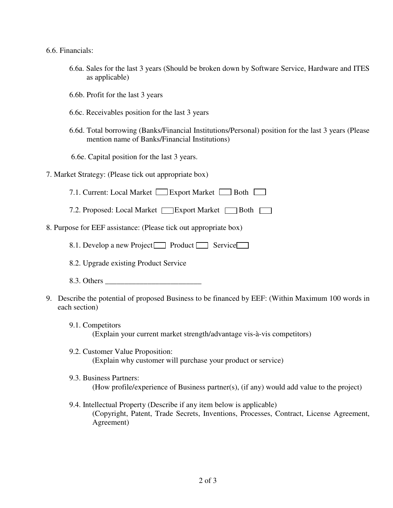6.6. Financials:

- 6.6a. Sales for the last 3 years (Should be broken down by Software Service, Hardware and ITES as applicable)
- 6.6b. Profit for the last 3 years
- 6.6c. Receivables position for the last 3 years
- 6.6d. Total borrowing (Banks/Financial Institutions/Personal) position for the last 3 years (Please mention name of Banks/Financial Institutions)
- 6.6e. Capital position for the last 3 years.
- 7. Market Strategy: (Please tick out appropriate box)
	- 7.1. Current: Local Market Export Market Both
	- 7.2. Proposed: Local Market Skylport Market Both
- 8. Purpose for EEF assistance: (Please tick out appropriate box)

8.1. Develop a new Project Product Service

- 8.2. Upgrade existing Product Service
- 8.3. Others \_\_\_\_\_\_\_\_\_\_\_\_\_\_\_\_\_\_\_\_\_\_\_\_\_
- 9. Describe the potential of proposed Business to be financed by EEF: (Within Maximum 100 words in each section)
	- 9.1. Competitors (Explain your current market strength/advantage vis-à-vis competitors)
	- 9.2. Customer Value Proposition: (Explain why customer will purchase your product or service)
	- 9.3. Business Partners: (How profile/experience of Business partner(s), (if any) would add value to the project)
	- 9.4. Intellectual Property (Describe if any item below is applicable) (Copyright, Patent, Trade Secrets, Inventions, Processes, Contract, License Agreement, Agreement)